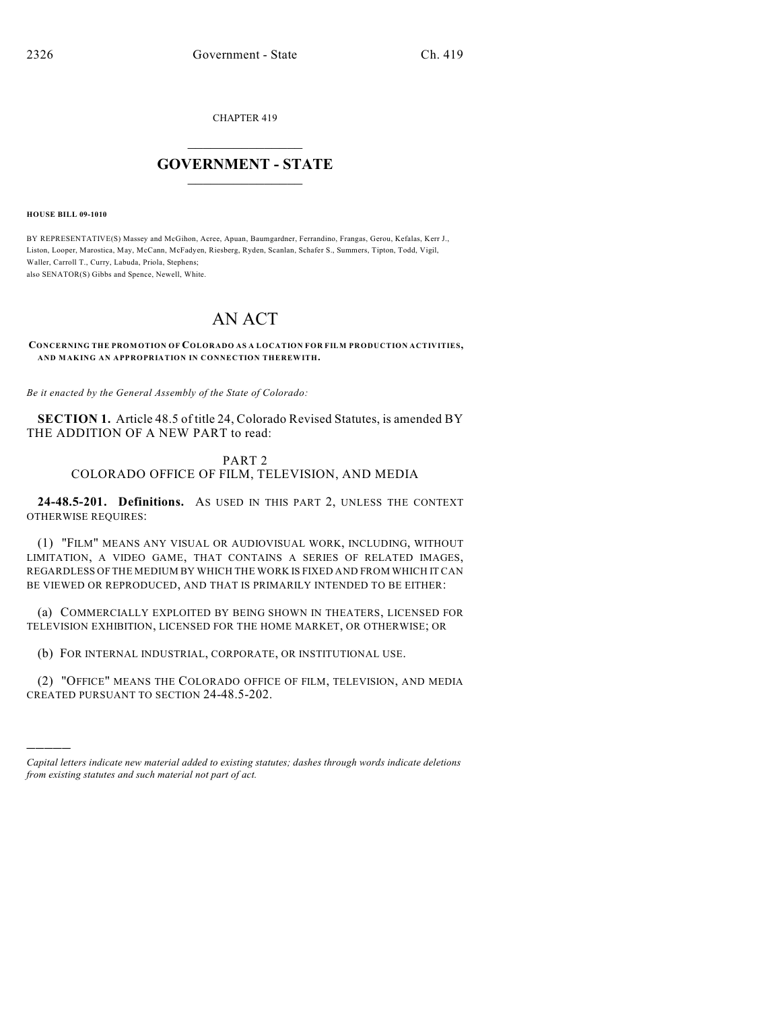CHAPTER 419

## $\mathcal{L}_\text{max}$  . The set of the set of the set of the set of the set of the set of the set of the set of the set of the set of the set of the set of the set of the set of the set of the set of the set of the set of the set **GOVERNMENT - STATE**  $\_$   $\_$   $\_$   $\_$   $\_$   $\_$   $\_$   $\_$   $\_$

**HOUSE BILL 09-1010**

)))))

BY REPRESENTATIVE(S) Massey and McGihon, Acree, Apuan, Baumgardner, Ferrandino, Frangas, Gerou, Kefalas, Kerr J., Liston, Looper, Marostica, May, McCann, McFadyen, Riesberg, Ryden, Scanlan, Schafer S., Summers, Tipton, Todd, Vigil, Waller, Carroll T., Curry, Labuda, Priola, Stephens; also SENATOR(S) Gibbs and Spence, Newell, White.

## AN ACT

## **CONCERNING THE PROMOTION OF COLORADO AS A LOCATION FOR FILM PRODUCTION ACTIVITIES, AND MAKING AN APPROPRIATION IN CONNECTION THEREWITH.**

*Be it enacted by the General Assembly of the State of Colorado:*

**SECTION 1.** Article 48.5 of title 24, Colorado Revised Statutes, is amended BY THE ADDITION OF A NEW PART to read:

## PART 2 COLORADO OFFICE OF FILM, TELEVISION, AND MEDIA

**24-48.5-201. Definitions.** AS USED IN THIS PART 2, UNLESS THE CONTEXT OTHERWISE REQUIRES:

(1) "FILM" MEANS ANY VISUAL OR AUDIOVISUAL WORK, INCLUDING, WITHOUT LIMITATION, A VIDEO GAME, THAT CONTAINS A SERIES OF RELATED IMAGES, REGARDLESS OF THE MEDIUM BY WHICH THE WORK IS FIXED AND FROM WHICH IT CAN BE VIEWED OR REPRODUCED, AND THAT IS PRIMARILY INTENDED TO BE EITHER:

(a) COMMERCIALLY EXPLOITED BY BEING SHOWN IN THEATERS, LICENSED FOR TELEVISION EXHIBITION, LICENSED FOR THE HOME MARKET, OR OTHERWISE; OR

(b) FOR INTERNAL INDUSTRIAL, CORPORATE, OR INSTITUTIONAL USE.

(2) "OFFICE" MEANS THE COLORADO OFFICE OF FILM, TELEVISION, AND MEDIA CREATED PURSUANT TO SECTION 24-48.5-202.

*Capital letters indicate new material added to existing statutes; dashes through words indicate deletions from existing statutes and such material not part of act.*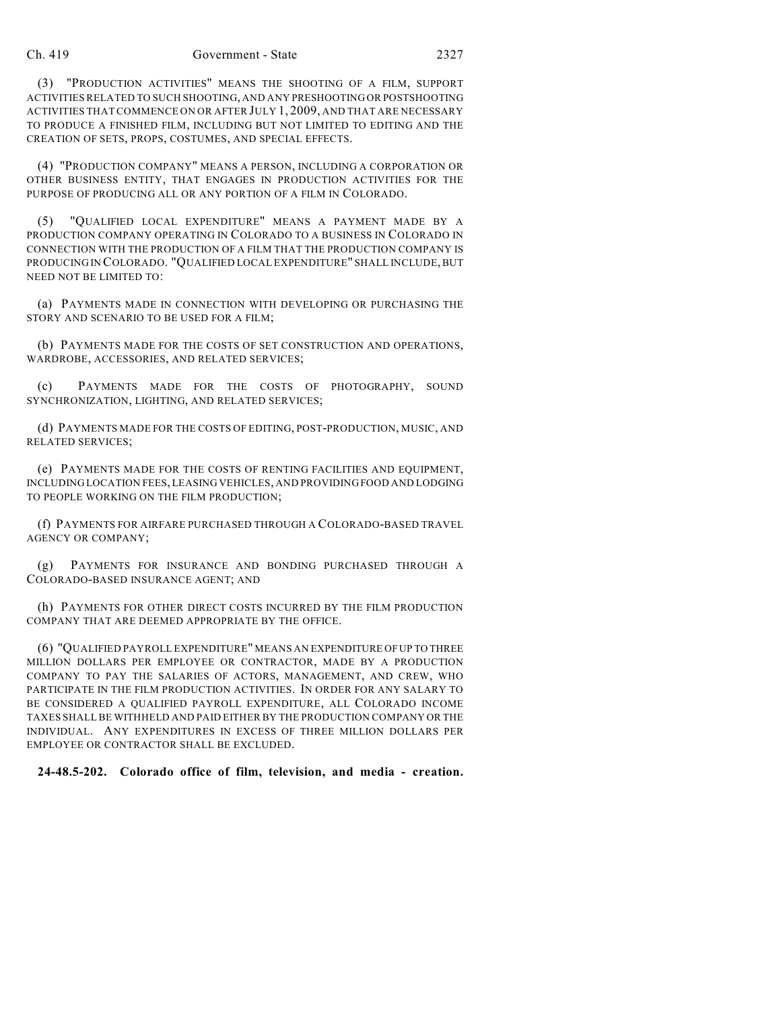(3) "PRODUCTION ACTIVITIES" MEANS THE SHOOTING OF A FILM, SUPPORT ACTIVITIES RELATED TO SUCH SHOOTING, AND ANY PRESHOOTING OR POSTSHOOTING ACTIVITIES THAT COMMENCE ON OR AFTER JULY 1, 2009, AND THAT ARE NECESSARY TO PRODUCE A FINISHED FILM, INCLUDING BUT NOT LIMITED TO EDITING AND THE CREATION OF SETS, PROPS, COSTUMES, AND SPECIAL EFFECTS.

(4) "PRODUCTION COMPANY" MEANS A PERSON, INCLUDING A CORPORATION OR OTHER BUSINESS ENTITY, THAT ENGAGES IN PRODUCTION ACTIVITIES FOR THE PURPOSE OF PRODUCING ALL OR ANY PORTION OF A FILM IN COLORADO.

(5) "QUALIFIED LOCAL EXPENDITURE" MEANS A PAYMENT MADE BY A PRODUCTION COMPANY OPERATING IN COLORADO TO A BUSINESS IN COLORADO IN CONNECTION WITH THE PRODUCTION OF A FILM THAT THE PRODUCTION COMPANY IS PRODUCING IN COLORADO. "QUALIFIED LOCAL EXPENDITURE" SHALL INCLUDE, BUT NEED NOT BE LIMITED TO:

(a) PAYMENTS MADE IN CONNECTION WITH DEVELOPING OR PURCHASING THE STORY AND SCENARIO TO BE USED FOR A FILM;

(b) PAYMENTS MADE FOR THE COSTS OF SET CONSTRUCTION AND OPERATIONS, WARDROBE, ACCESSORIES, AND RELATED SERVICES;

(c) PAYMENTS MADE FOR THE COSTS OF PHOTOGRAPHY, SOUND SYNCHRONIZATION, LIGHTING, AND RELATED SERVICES;

(d) PAYMENTS MADE FOR THE COSTS OF EDITING, POST-PRODUCTION, MUSIC, AND RELATED SERVICES;

(e) PAYMENTS MADE FOR THE COSTS OF RENTING FACILITIES AND EQUIPMENT, INCLUDING LOCATION FEES, LEASING VEHICLES, AND PROVIDING FOOD AND LODGING TO PEOPLE WORKING ON THE FILM PRODUCTION;

(f) PAYMENTS FOR AIRFARE PURCHASED THROUGH A COLORADO-BASED TRAVEL AGENCY OR COMPANY;

(g) PAYMENTS FOR INSURANCE AND BONDING PURCHASED THROUGH A COLORADO-BASED INSURANCE AGENT; AND

(h) PAYMENTS FOR OTHER DIRECT COSTS INCURRED BY THE FILM PRODUCTION COMPANY THAT ARE DEEMED APPROPRIATE BY THE OFFICE.

(6) "QUALIFIED PAYROLL EXPENDITURE" MEANS AN EXPENDITURE OF UP TO THREE MILLION DOLLARS PER EMPLOYEE OR CONTRACTOR, MADE BY A PRODUCTION COMPANY TO PAY THE SALARIES OF ACTORS, MANAGEMENT, AND CREW, WHO PARTICIPATE IN THE FILM PRODUCTION ACTIVITIES. IN ORDER FOR ANY SALARY TO BE CONSIDERED A QUALIFIED PAYROLL EXPENDITURE, ALL COLORADO INCOME TAXES SHALL BE WITHHELD AND PAID EITHER BY THE PRODUCTION COMPANY OR THE INDIVIDUAL. ANY EXPENDITURES IN EXCESS OF THREE MILLION DOLLARS PER EMPLOYEE OR CONTRACTOR SHALL BE EXCLUDED.

**24-48.5-202. Colorado office of film, television, and media - creation.**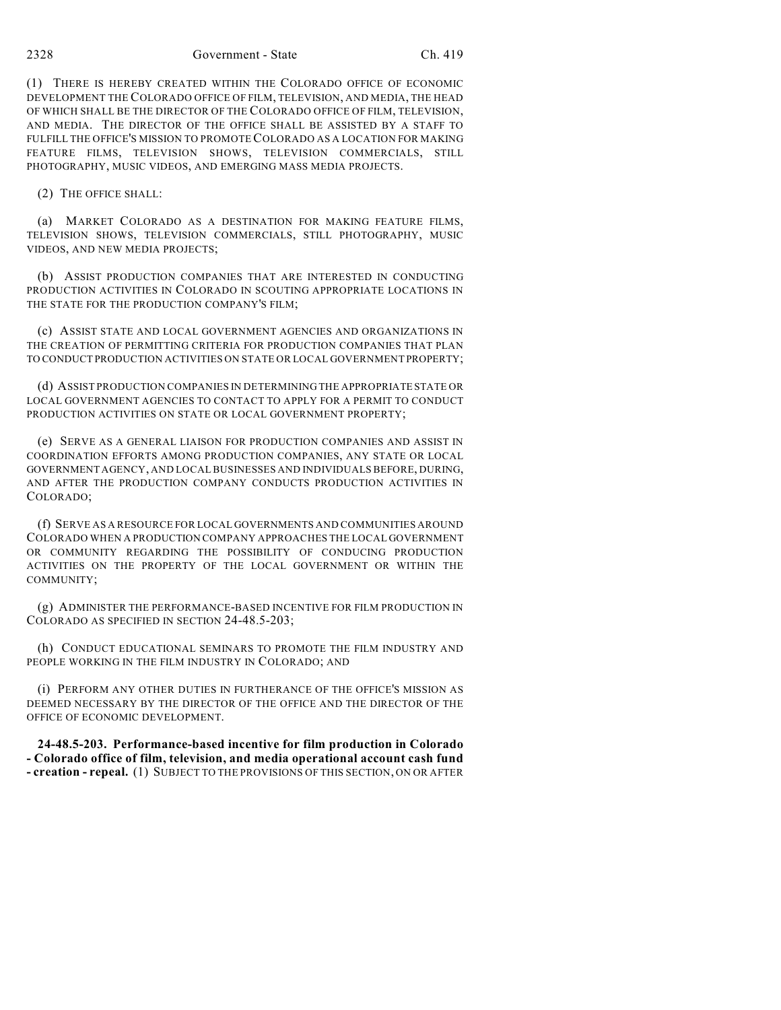2328 Government - State Ch. 419

(1) THERE IS HEREBY CREATED WITHIN THE COLORADO OFFICE OF ECONOMIC DEVELOPMENT THE COLORADO OFFICE OF FILM, TELEVISION, AND MEDIA, THE HEAD OF WHICH SHALL BE THE DIRECTOR OF THE COLORADO OFFICE OF FILM, TELEVISION, AND MEDIA. THE DIRECTOR OF THE OFFICE SHALL BE ASSISTED BY A STAFF TO FULFILL THE OFFICE'S MISSION TO PROMOTE COLORADO AS A LOCATION FOR MAKING FEATURE FILMS, TELEVISION SHOWS, TELEVISION COMMERCIALS, STILL PHOTOGRAPHY, MUSIC VIDEOS, AND EMERGING MASS MEDIA PROJECTS.

(2) THE OFFICE SHALL:

(a) MARKET COLORADO AS A DESTINATION FOR MAKING FEATURE FILMS, TELEVISION SHOWS, TELEVISION COMMERCIALS, STILL PHOTOGRAPHY, MUSIC VIDEOS, AND NEW MEDIA PROJECTS;

(b) ASSIST PRODUCTION COMPANIES THAT ARE INTERESTED IN CONDUCTING PRODUCTION ACTIVITIES IN COLORADO IN SCOUTING APPROPRIATE LOCATIONS IN THE STATE FOR THE PRODUCTION COMPANY'S FILM;

(c) ASSIST STATE AND LOCAL GOVERNMENT AGENCIES AND ORGANIZATIONS IN THE CREATION OF PERMITTING CRITERIA FOR PRODUCTION COMPANIES THAT PLAN TO CONDUCT PRODUCTION ACTIVITIES ON STATE OR LOCAL GOVERNMENT PROPERTY;

(d) ASSIST PRODUCTION COMPANIES IN DETERMINING THE APPROPRIATE STATE OR LOCAL GOVERNMENT AGENCIES TO CONTACT TO APPLY FOR A PERMIT TO CONDUCT PRODUCTION ACTIVITIES ON STATE OR LOCAL GOVERNMENT PROPERTY;

(e) SERVE AS A GENERAL LIAISON FOR PRODUCTION COMPANIES AND ASSIST IN COORDINATION EFFORTS AMONG PRODUCTION COMPANIES, ANY STATE OR LOCAL GOVERNMENT AGENCY, AND LOCAL BUSINESSES AND INDIVIDUALS BEFORE, DURING, AND AFTER THE PRODUCTION COMPANY CONDUCTS PRODUCTION ACTIVITIES IN COLORADO;

(f) SERVE AS A RESOURCE FOR LOCAL GOVERNMENTS AND COMMUNITIES AROUND COLORADO WHEN A PRODUCTION COMPANY APPROACHES THE LOCAL GOVERNMENT OR COMMUNITY REGARDING THE POSSIBILITY OF CONDUCING PRODUCTION ACTIVITIES ON THE PROPERTY OF THE LOCAL GOVERNMENT OR WITHIN THE COMMUNITY;

(g) ADMINISTER THE PERFORMANCE-BASED INCENTIVE FOR FILM PRODUCTION IN COLORADO AS SPECIFIED IN SECTION 24-48.5-203;

(h) CONDUCT EDUCATIONAL SEMINARS TO PROMOTE THE FILM INDUSTRY AND PEOPLE WORKING IN THE FILM INDUSTRY IN COLORADO; AND

(i) PERFORM ANY OTHER DUTIES IN FURTHERANCE OF THE OFFICE'S MISSION AS DEEMED NECESSARY BY THE DIRECTOR OF THE OFFICE AND THE DIRECTOR OF THE OFFICE OF ECONOMIC DEVELOPMENT.

**24-48.5-203. Performance-based incentive for film production in Colorado - Colorado office of film, television, and media operational account cash fund - creation - repeal.** (1) SUBJECT TO THE PROVISIONS OF THIS SECTION, ON OR AFTER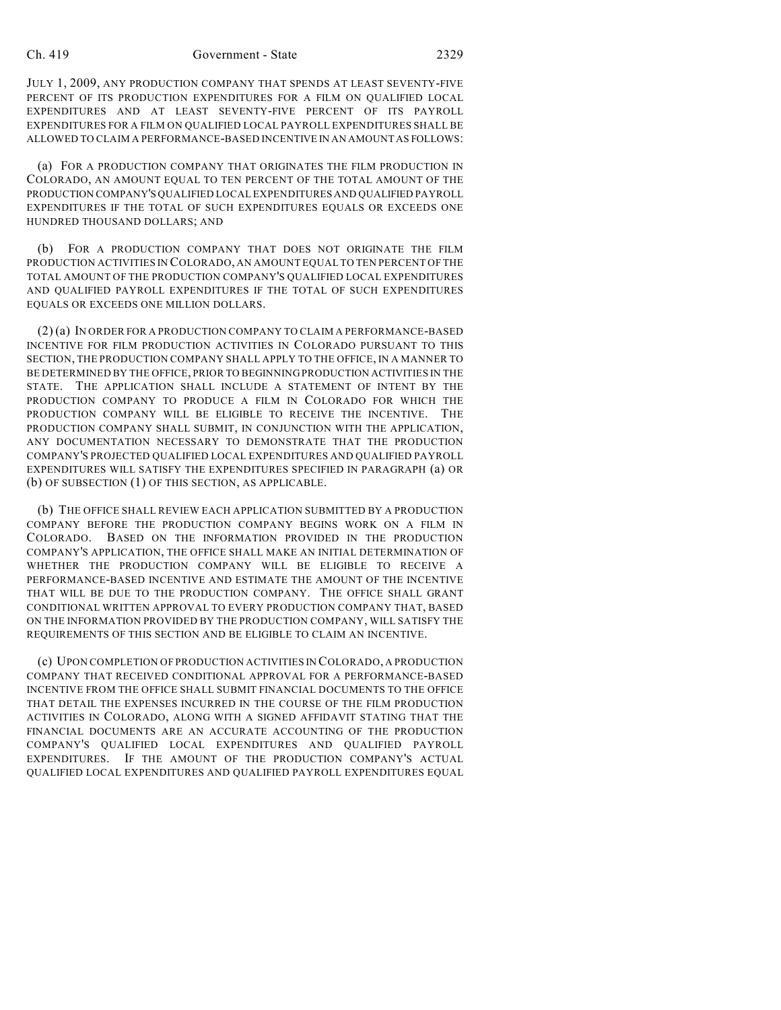JULY 1, 2009, ANY PRODUCTION COMPANY THAT SPENDS AT LEAST SEVENTY-FIVE PERCENT OF ITS PRODUCTION EXPENDITURES FOR A FILM ON QUALIFIED LOCAL EXPENDITURES AND AT LEAST SEVENTY-FIVE PERCENT OF ITS PAYROLL EXPENDITURES FOR A FILM ON QUALIFIED LOCAL PAYROLL EXPENDITURES SHALL BE ALLOWED TO CLAIM A PERFORMANCE-BASED INCENTIVE IN AN AMOUNT AS FOLLOWS:

(a) FOR A PRODUCTION COMPANY THAT ORIGINATES THE FILM PRODUCTION IN COLORADO, AN AMOUNT EQUAL TO TEN PERCENT OF THE TOTAL AMOUNT OF THE PRODUCTION COMPANY'S QUALIFIED LOCAL EXPENDITURES AND QUALIFIED PAYROLL EXPENDITURES IF THE TOTAL OF SUCH EXPENDITURES EQUALS OR EXCEEDS ONE HUNDRED THOUSAND DOLLARS; AND

(b) FOR A PRODUCTION COMPANY THAT DOES NOT ORIGINATE THE FILM PRODUCTION ACTIVITIES IN COLORADO, AN AMOUNT EQUAL TO TEN PERCENT OF THE TOTAL AMOUNT OF THE PRODUCTION COMPANY'S QUALIFIED LOCAL EXPENDITURES AND QUALIFIED PAYROLL EXPENDITURES IF THE TOTAL OF SUCH EXPENDITURES EQUALS OR EXCEEDS ONE MILLION DOLLARS.

(2) (a) IN ORDER FOR A PRODUCTION COMPANY TO CLAIM A PERFORMANCE-BASED INCENTIVE FOR FILM PRODUCTION ACTIVITIES IN COLORADO PURSUANT TO THIS SECTION, THE PRODUCTION COMPANY SHALL APPLY TO THE OFFICE, IN A MANNER TO BE DETERMINED BY THE OFFICE, PRIOR TO BEGINNING PRODUCTION ACTIVITIES IN THE STATE. THE APPLICATION SHALL INCLUDE A STATEMENT OF INTENT BY THE PRODUCTION COMPANY TO PRODUCE A FILM IN COLORADO FOR WHICH THE PRODUCTION COMPANY WILL BE ELIGIBLE TO RECEIVE THE INCENTIVE. THE PRODUCTION COMPANY SHALL SUBMIT, IN CONJUNCTION WITH THE APPLICATION, ANY DOCUMENTATION NECESSARY TO DEMONSTRATE THAT THE PRODUCTION COMPANY'S PROJECTED QUALIFIED LOCAL EXPENDITURES AND QUALIFIED PAYROLL EXPENDITURES WILL SATISFY THE EXPENDITURES SPECIFIED IN PARAGRAPH (a) OR (b) OF SUBSECTION (1) OF THIS SECTION, AS APPLICABLE.

(b) THE OFFICE SHALL REVIEW EACH APPLICATION SUBMITTED BY A PRODUCTION COMPANY BEFORE THE PRODUCTION COMPANY BEGINS WORK ON A FILM IN COLORADO. BASED ON THE INFORMATION PROVIDED IN THE PRODUCTION COMPANY'S APPLICATION, THE OFFICE SHALL MAKE AN INITIAL DETERMINATION OF WHETHER THE PRODUCTION COMPANY WILL BE ELIGIBLE TO RECEIVE A PERFORMANCE-BASED INCENTIVE AND ESTIMATE THE AMOUNT OF THE INCENTIVE THAT WILL BE DUE TO THE PRODUCTION COMPANY. THE OFFICE SHALL GRANT CONDITIONAL WRITTEN APPROVAL TO EVERY PRODUCTION COMPANY THAT, BASED ON THE INFORMATION PROVIDED BY THE PRODUCTION COMPANY, WILL SATISFY THE REQUIREMENTS OF THIS SECTION AND BE ELIGIBLE TO CLAIM AN INCENTIVE.

(c) UPON COMPLETION OF PRODUCTION ACTIVITIES IN COLORADO, A PRODUCTION COMPANY THAT RECEIVED CONDITIONAL APPROVAL FOR A PERFORMANCE-BASED INCENTIVE FROM THE OFFICE SHALL SUBMIT FINANCIAL DOCUMENTS TO THE OFFICE THAT DETAIL THE EXPENSES INCURRED IN THE COURSE OF THE FILM PRODUCTION ACTIVITIES IN COLORADO, ALONG WITH A SIGNED AFFIDAVIT STATING THAT THE FINANCIAL DOCUMENTS ARE AN ACCURATE ACCOUNTING OF THE PRODUCTION COMPANY'S QUALIFIED LOCAL EXPENDITURES AND QUALIFIED PAYROLL EXPENDITURES. IF THE AMOUNT OF THE PRODUCTION COMPANY'S ACTUAL QUALIFIED LOCAL EXPENDITURES AND QUALIFIED PAYROLL EXPENDITURES EQUAL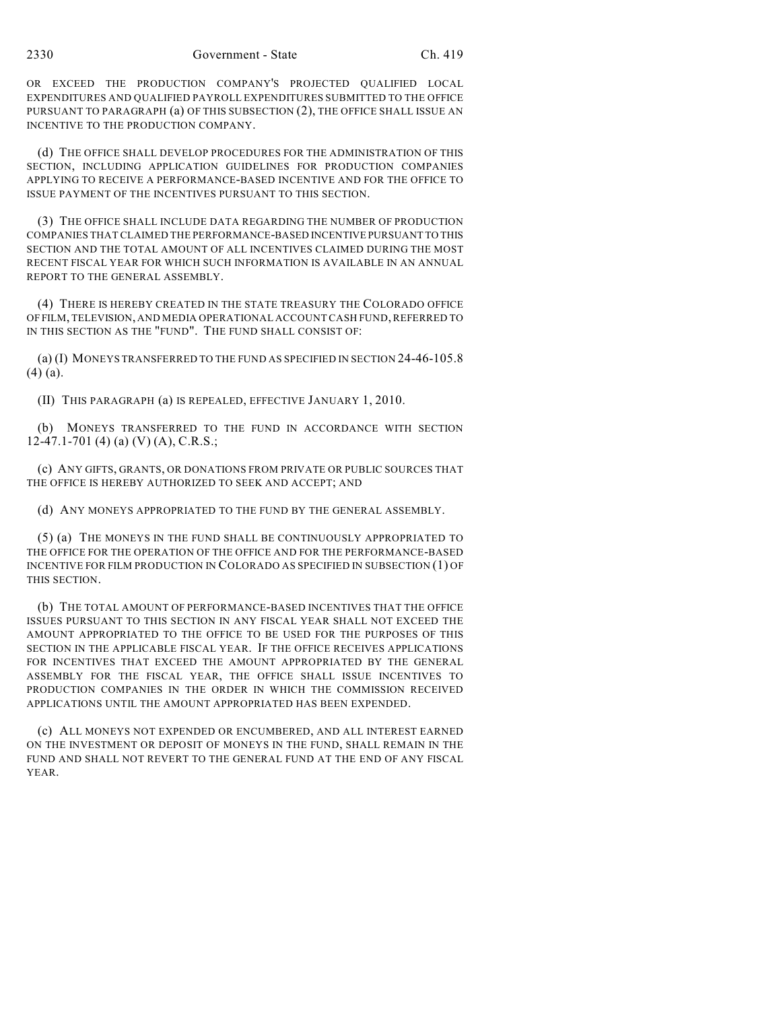OR EXCEED THE PRODUCTION COMPANY'S PROJECTED QUALIFIED LOCAL EXPENDITURES AND QUALIFIED PAYROLL EXPENDITURES SUBMITTED TO THE OFFICE PURSUANT TO PARAGRAPH (a) OF THIS SUBSECTION (2), THE OFFICE SHALL ISSUE AN INCENTIVE TO THE PRODUCTION COMPANY.

(d) THE OFFICE SHALL DEVELOP PROCEDURES FOR THE ADMINISTRATION OF THIS SECTION, INCLUDING APPLICATION GUIDELINES FOR PRODUCTION COMPANIES APPLYING TO RECEIVE A PERFORMANCE-BASED INCENTIVE AND FOR THE OFFICE TO ISSUE PAYMENT OF THE INCENTIVES PURSUANT TO THIS SECTION.

(3) THE OFFICE SHALL INCLUDE DATA REGARDING THE NUMBER OF PRODUCTION COMPANIES THAT CLAIMED THE PERFORMANCE-BASED INCENTIVE PURSUANT TO THIS SECTION AND THE TOTAL AMOUNT OF ALL INCENTIVES CLAIMED DURING THE MOST RECENT FISCAL YEAR FOR WHICH SUCH INFORMATION IS AVAILABLE IN AN ANNUAL REPORT TO THE GENERAL ASSEMBLY.

(4) THERE IS HEREBY CREATED IN THE STATE TREASURY THE COLORADO OFFICE OF FILM, TELEVISION, AND MEDIA OPERATIONAL ACCOUNT CASH FUND, REFERRED TO IN THIS SECTION AS THE "FUND". THE FUND SHALL CONSIST OF:

(a) (I) MONEYS TRANSFERRED TO THE FUND AS SPECIFIED IN SECTION 24-46-105.8 (4) (a).

(II) THIS PARAGRAPH (a) IS REPEALED, EFFECTIVE JANUARY 1, 2010.

(b) MONEYS TRANSFERRED TO THE FUND IN ACCORDANCE WITH SECTION 12-47.1-701 (4) (a) (V) (A), C.R.S.;

(c) ANY GIFTS, GRANTS, OR DONATIONS FROM PRIVATE OR PUBLIC SOURCES THAT THE OFFICE IS HEREBY AUTHORIZED TO SEEK AND ACCEPT; AND

(d) ANY MONEYS APPROPRIATED TO THE FUND BY THE GENERAL ASSEMBLY.

(5) (a) THE MONEYS IN THE FUND SHALL BE CONTINUOUSLY APPROPRIATED TO THE OFFICE FOR THE OPERATION OF THE OFFICE AND FOR THE PERFORMANCE-BASED INCENTIVE FOR FILM PRODUCTION IN COLORADO AS SPECIFIED IN SUBSECTION (1) OF THIS SECTION.

(b) THE TOTAL AMOUNT OF PERFORMANCE-BASED INCENTIVES THAT THE OFFICE ISSUES PURSUANT TO THIS SECTION IN ANY FISCAL YEAR SHALL NOT EXCEED THE AMOUNT APPROPRIATED TO THE OFFICE TO BE USED FOR THE PURPOSES OF THIS SECTION IN THE APPLICABLE FISCAL YEAR. IF THE OFFICE RECEIVES APPLICATIONS FOR INCENTIVES THAT EXCEED THE AMOUNT APPROPRIATED BY THE GENERAL ASSEMBLY FOR THE FISCAL YEAR, THE OFFICE SHALL ISSUE INCENTIVES TO PRODUCTION COMPANIES IN THE ORDER IN WHICH THE COMMISSION RECEIVED APPLICATIONS UNTIL THE AMOUNT APPROPRIATED HAS BEEN EXPENDED.

(c) ALL MONEYS NOT EXPENDED OR ENCUMBERED, AND ALL INTEREST EARNED ON THE INVESTMENT OR DEPOSIT OF MONEYS IN THE FUND, SHALL REMAIN IN THE FUND AND SHALL NOT REVERT TO THE GENERAL FUND AT THE END OF ANY FISCAL YEAR.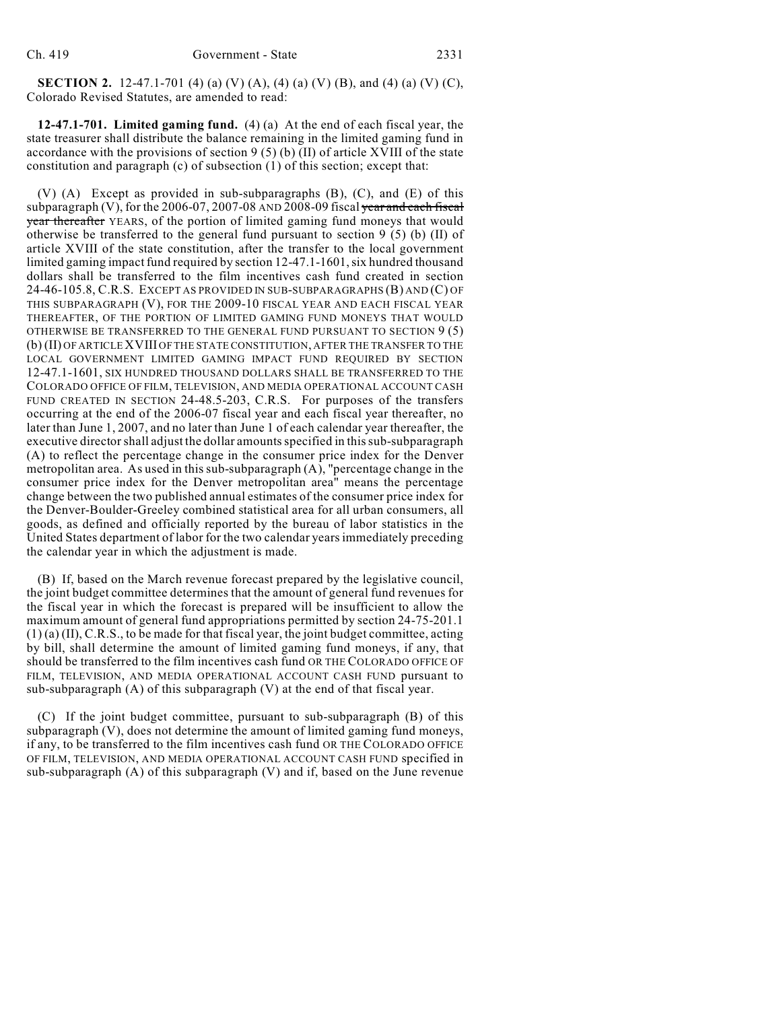**SECTION 2.** 12-47.1-701 (4) (a) (V) (A), (4) (a) (V) (B), and (4) (a) (V) (C), Colorado Revised Statutes, are amended to read:

**12-47.1-701. Limited gaming fund.** (4) (a) At the end of each fiscal year, the state treasurer shall distribute the balance remaining in the limited gaming fund in accordance with the provisions of section  $9(5)(b)(II)$  of article XVIII of the state constitution and paragraph (c) of subsection (1) of this section; except that:

(V) (A) Except as provided in sub-subparagraphs (B), (C), and (E) of this subparagraph (V), for the 2006-07, 2007-08 AND 2008-09 fiscal year and each fiscal year thereafter YEARS, of the portion of limited gaming fund moneys that would otherwise be transferred to the general fund pursuant to section 9 (5) (b) (II) of article XVIII of the state constitution, after the transfer to the local government limited gaming impact fund required by section 12-47.1-1601, six hundred thousand dollars shall be transferred to the film incentives cash fund created in section 24-46-105.8, C.R.S. EXCEPT AS PROVIDED IN SUB-SUBPARAGRAPHS (B) AND (C) OF THIS SUBPARAGRAPH (V), FOR THE 2009-10 FISCAL YEAR AND EACH FISCAL YEAR THEREAFTER, OF THE PORTION OF LIMITED GAMING FUND MONEYS THAT WOULD OTHERWISE BE TRANSFERRED TO THE GENERAL FUND PURSUANT TO SECTION 9 (5) (b) (II) OF ARTICLE XVIII OF THE STATE CONSTITUTION, AFTER THE TRANSFER TO THE LOCAL GOVERNMENT LIMITED GAMING IMPACT FUND REQUIRED BY SECTION 12-47.1-1601, SIX HUNDRED THOUSAND DOLLARS SHALL BE TRANSFERRED TO THE COLORADO OFFICE OF FILM, TELEVISION, AND MEDIA OPERATIONAL ACCOUNT CASH FUND CREATED IN SECTION 24-48.5-203, C.R.S. For purposes of the transfers occurring at the end of the 2006-07 fiscal year and each fiscal year thereafter, no later than June 1, 2007, and no later than June 1 of each calendar year thereafter, the executive director shall adjust the dollar amounts specified in this sub-subparagraph (A) to reflect the percentage change in the consumer price index for the Denver metropolitan area. As used in this sub-subparagraph (A), "percentage change in the consumer price index for the Denver metropolitan area" means the percentage change between the two published annual estimates of the consumer price index for the Denver-Boulder-Greeley combined statistical area for all urban consumers, all goods, as defined and officially reported by the bureau of labor statistics in the United States department of labor for the two calendar years immediately preceding the calendar year in which the adjustment is made.

(B) If, based on the March revenue forecast prepared by the legislative council, the joint budget committee determines that the amount of general fund revenues for the fiscal year in which the forecast is prepared will be insufficient to allow the maximum amount of general fund appropriations permitted by section 24-75-201.1 (1) (a) (II), C.R.S., to be made for that fiscal year, the joint budget committee, acting by bill, shall determine the amount of limited gaming fund moneys, if any, that should be transferred to the film incentives cash fund OR THE COLORADO OFFICE OF FILM, TELEVISION, AND MEDIA OPERATIONAL ACCOUNT CASH FUND pursuant to sub-subparagraph (A) of this subparagraph (V) at the end of that fiscal year.

(C) If the joint budget committee, pursuant to sub-subparagraph (B) of this subparagraph (V), does not determine the amount of limited gaming fund moneys, if any, to be transferred to the film incentives cash fund OR THE COLORADO OFFICE OF FILM, TELEVISION, AND MEDIA OPERATIONAL ACCOUNT CASH FUND specified in sub-subparagraph (A) of this subparagraph (V) and if, based on the June revenue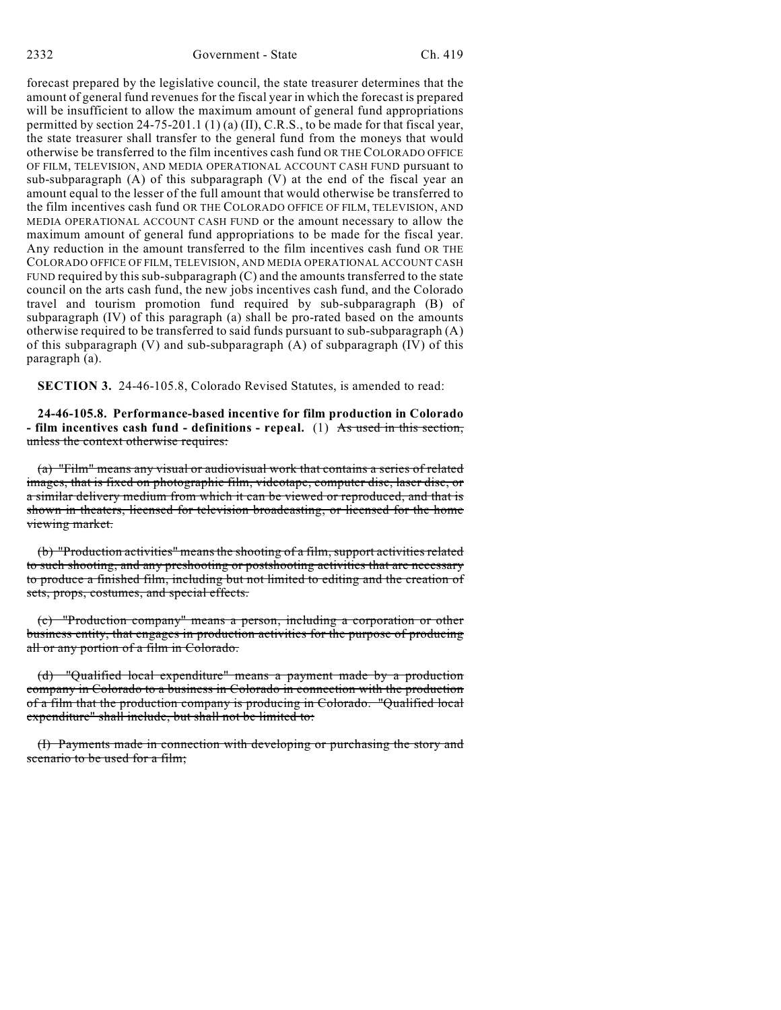forecast prepared by the legislative council, the state treasurer determines that the amount of general fund revenues for the fiscal year in which the forecast is prepared will be insufficient to allow the maximum amount of general fund appropriations permitted by section 24-75-201.1 (1) (a) (II), C.R.S., to be made for that fiscal year, the state treasurer shall transfer to the general fund from the moneys that would otherwise be transferred to the film incentives cash fund OR THE COLORADO OFFICE OF FILM, TELEVISION, AND MEDIA OPERATIONAL ACCOUNT CASH FUND pursuant to sub-subparagraph (A) of this subparagraph (V) at the end of the fiscal year an amount equal to the lesser of the full amount that would otherwise be transferred to the film incentives cash fund OR THE COLORADO OFFICE OF FILM, TELEVISION, AND MEDIA OPERATIONAL ACCOUNT CASH FUND or the amount necessary to allow the maximum amount of general fund appropriations to be made for the fiscal year. Any reduction in the amount transferred to the film incentives cash fund OR THE COLORADO OFFICE OF FILM, TELEVISION, AND MEDIA OPERATIONAL ACCOUNT CASH FUND required by this sub-subparagraph  $(C)$  and the amounts transferred to the state council on the arts cash fund, the new jobs incentives cash fund, and the Colorado travel and tourism promotion fund required by sub-subparagraph (B) of subparagraph (IV) of this paragraph (a) shall be pro-rated based on the amounts otherwise required to be transferred to said funds pursuant to sub-subparagraph  $(A)$ of this subparagraph  $(V)$  and sub-subparagraph  $(A)$  of subparagraph  $(IV)$  of this paragraph (a).

**SECTION 3.** 24-46-105.8, Colorado Revised Statutes, is amended to read:

**24-46-105.8. Performance-based incentive for film production in Colorado - film incentives cash fund - definitions - repeal.** (1) As used in this section, unless the context otherwise requires:

(a) "Film" means any visual or audiovisual work that contains a series of related images, that is fixed on photographic film, videotape, computer disc, laser disc, or a similar delivery medium from which it can be viewed or reproduced, and that is shown in theaters, licensed for television broadcasting, or licensed for the home viewing market.

(b) "Production activities" meansthe shooting of a film, support activities related to such shooting, and any preshooting or postshooting activities that are necessary to produce a finished film, including but not limited to editing and the creation of sets, props, costumes, and special effects.

(c) "Production company" means a person, including a corporation or other business entity, that engages in production activities for the purpose of producing all or any portion of a film in Colorado.

(d) "Qualified local expenditure" means a payment made by a production company in Colorado to a business in Colorado in connection with the production of a film that the production company is producing in Colorado. "Qualified local expenditure" shall include, but shall not be limited to:

(I) Payments made in connection with developing or purchasing the story and scenario to be used for a film;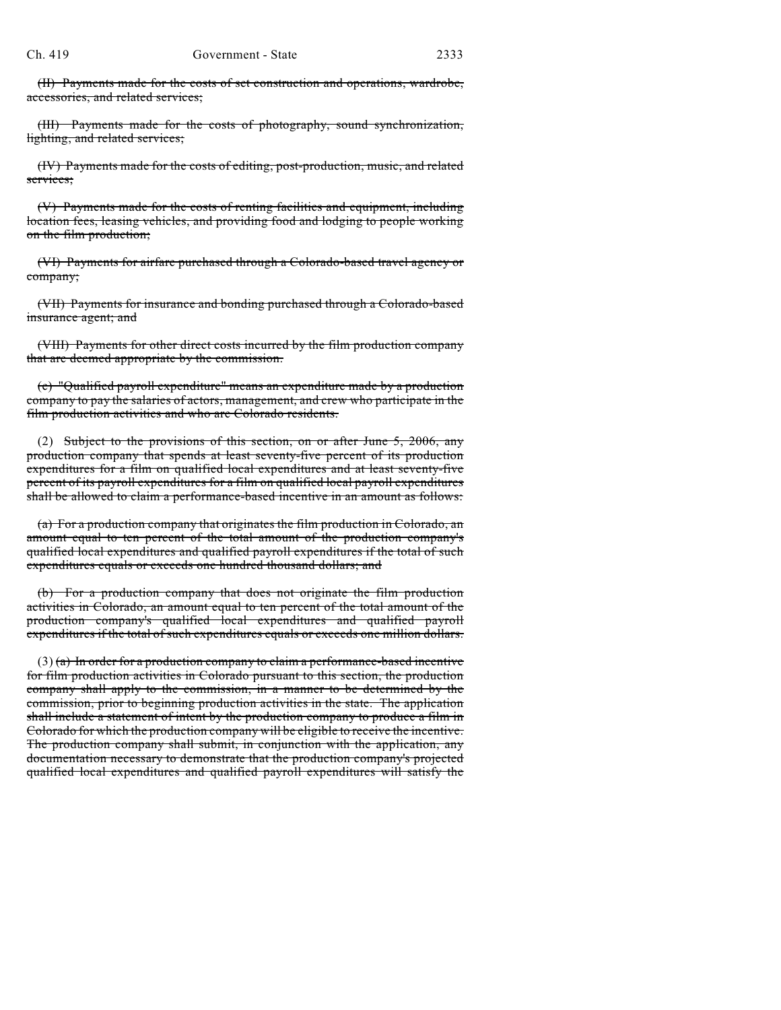(II) Payments made for the costs of set construction and operations, wardrobe, accessories, and related services;

(III) Payments made for the costs of photography, sound synchronization, lighting, and related services;

(IV) Payments made for the costs of editing, post-production, music, and related services;

(V) Payments made for the costs of renting facilities and equipment, including location fees, leasing vehicles, and providing food and lodging to people working on the film production;

(VI) Payments for airfare purchased through a Colorado-based travel agency or company;

(VII) Payments for insurance and bonding purchased through a Colorado-based insurance agent; and

(VIII) Payments for other direct costs incurred by the film production company that are deemed appropriate by the commission.

(e) "Qualified payroll expenditure" means an expenditure made by a production company to pay the salaries of actors, management, and crew who participate in the film production activities and who are Colorado residents.

(2) Subject to the provisions of this section, on or after June 5, 2006, any production company that spends at least seventy-five percent of its production expenditures for a film on qualified local expenditures and at least seventy-five percent of its payroll expenditures for a film on qualified local payroll expenditures shall be allowed to claim a performance-based incentive in an amount as follows:

(a) For a production company that originates the film production in Colorado, an amount equal to ten percent of the total amount of the production company's qualified local expenditures and qualified payroll expenditures if the total of such expenditures equals or exceeds one hundred thousand dollars; and

(b) For a production company that does not originate the film production activities in Colorado, an amount equal to ten percent of the total amount of the production company's qualified local expenditures and qualified payroll expenditures if the total of such expenditures equals or exceeds one million dollars.

 $(3)$  (a) In order for a production company to claim a performance-based incentive for film production activities in Colorado pursuant to this section, the production company shall apply to the commission, in a manner to be determined by the commission, prior to beginning production activities in the state. The application shall include a statement of intent by the production company to produce a film in Colorado for which the production company will be eligible to receive the incentive. The production company shall submit, in conjunction with the application, any documentation necessary to demonstrate that the production company's projected qualified local expenditures and qualified payroll expenditures will satisfy the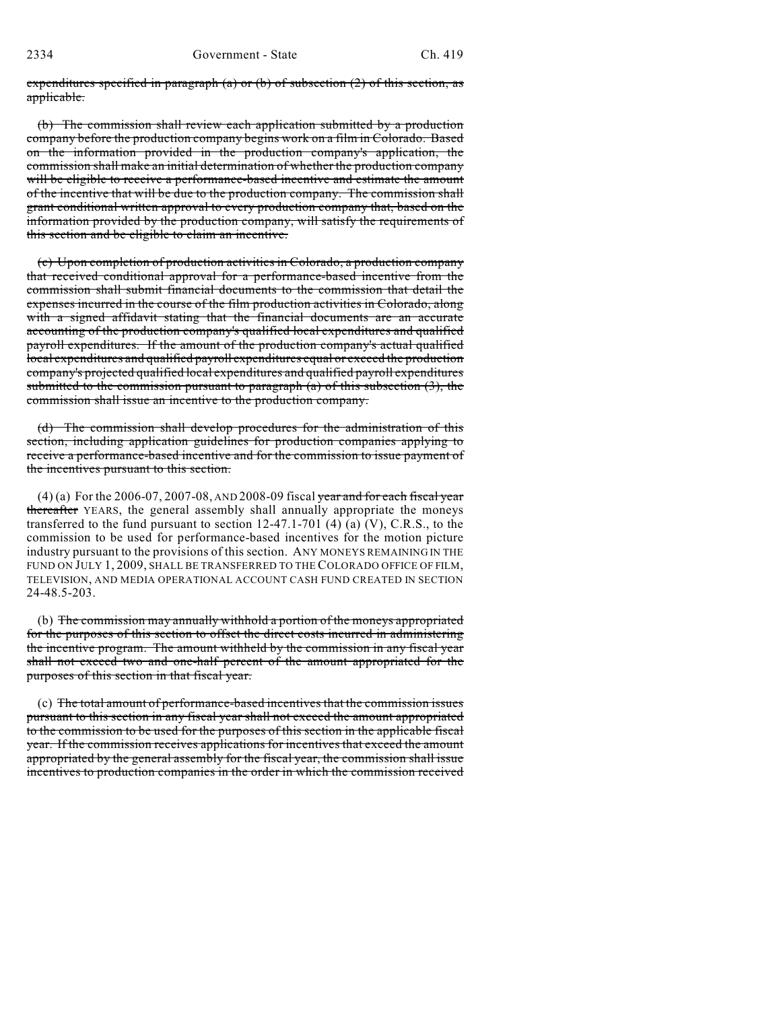expenditures specified in paragraph (a) or (b) of subsection  $(2)$  of this section, as applicable.

(b) The commission shall review each application submitted by a production company before the production company begins work on a film in Colorado. Based on the information provided in the production company's application, the commission shall make an initial determination of whether the production company will be eligible to receive a performance-based incentive and estimate the amount of the incentive that will be due to the production company. The commission shall grant conditional written approval to every production company that, based on the information provided by the production company, will satisfy the requirements of this section and be eligible to claim an incentive.

(c) Upon completion of production activities in Colorado, a production company that received conditional approval for a performance-based incentive from the commission shall submit financial documents to the commission that detail the expenses incurred in the course of the film production activities in Colorado, along with a signed affidavit stating that the financial documents are an accurate accounting of the production company's qualified local expenditures and qualified payroll expenditures. If the amount of the production company's actual qualified local expenditures and qualified payroll expenditures equal or exceed the production company's projected qualified local expenditures and qualified payroll expenditures submitted to the commission pursuant to paragraph (a) of this subsection (3), the commission shall issue an incentive to the production company.

(d) The commission shall develop procedures for the administration of this section, including application guidelines for production companies applying to receive a performance-based incentive and for the commission to issue payment of the incentives pursuant to this section.

(4) (a) For the 2006-07, 2007-08, AND 2008-09 fiscal year and for each fiscal year thereafter YEARS, the general assembly shall annually appropriate the moneys transferred to the fund pursuant to section  $12-47.1-701$  (4) (a) (V), C.R.S., to the commission to be used for performance-based incentives for the motion picture industry pursuant to the provisions of this section. ANY MONEYS REMAINING IN THE FUND ON JULY 1, 2009, SHALL BE TRANSFERRED TO THE COLORADO OFFICE OF FILM, TELEVISION, AND MEDIA OPERATIONAL ACCOUNT CASH FUND CREATED IN SECTION 24-48.5-203.

(b) The commission may annually withhold a portion of the moneys appropriated for the purposes of this section to offset the direct costs incurred in administering the incentive program. The amount withheld by the commission in any fiscal year shall not exceed two and one-half percent of the amount appropriated for the purposes of this section in that fiscal year.

(c) The total amount of performance-based incentives that the commission issues pursuant to this section in any fiscal year shall not exceed the amount appropriated to the commission to be used for the purposes of this section in the applicable fiscal year. If the commission receives applications for incentives that exceed the amount appropriated by the general assembly for the fiscal year, the commission shall issue incentives to production companies in the order in which the commission received